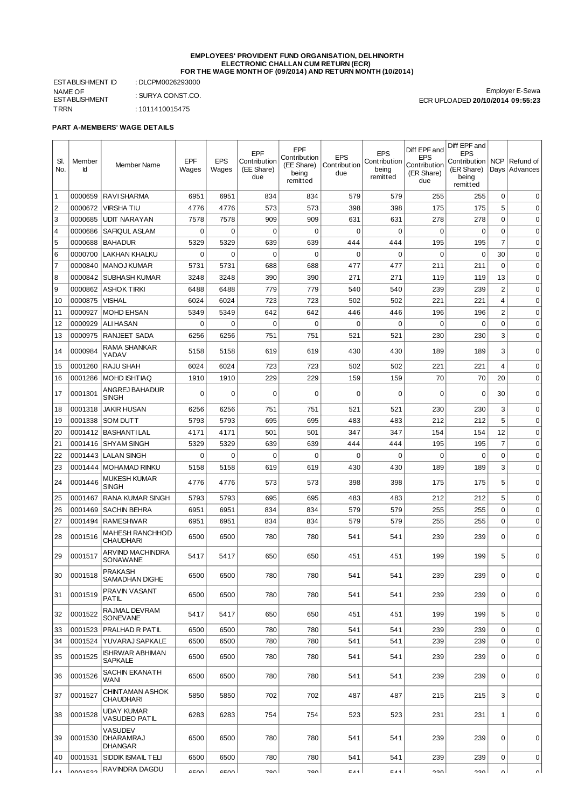#### **EMPLOYEES' PROVIDENT FUND ORGANISATION, DELHINORTH ELECTRONIC CHALLAN CUM RETURN (ECR) FOR THE WAGE MONTH OF (09/2014) AND RETURN MONTH (10/2014)**

ESTABLISHMENT ID : DLCPM0026293000 NAME OF ESTABLISHMENT<br>TRRN : SURYA CONST.CO.  $: 1011410015475$ 

Employer E-Sewa ECR UPLOADED **20/10/2014 09:55:23**

## **PART A-MEMBERS' WAGE DETAILS**

|                |         |                                                      |          |             |                     | EPF               |              |                            | Diff EPF and      | Diff EPF and                     |                  |               |
|----------------|---------|------------------------------------------------------|----------|-------------|---------------------|-------------------|--------------|----------------------------|-------------------|----------------------------------|------------------|---------------|
| SI.            | Member  |                                                      | EPF      | <b>EPS</b>  | EPF<br>Contribution | Contribution      | <b>EPS</b>   | <b>EPS</b><br>Contribution | <b>EPS</b>        | <b>EPS</b><br>Contribution   NCP |                  | Refund of     |
| No.            | Id      | Member Name                                          | Wages    | Wages       | (EE Share)          | (EE Share)        | Contribution | being                      | Contribution      | (ER Share)                       |                  | Days Advances |
|                |         |                                                      |          |             | due                 | being<br>remitted | due          | remitted                   | (ER Share)<br>due | being                            |                  |               |
|                |         |                                                      |          |             |                     |                   |              |                            |                   | remitted                         |                  |               |
| $\overline{1}$ | 0000659 | <b>RAVI SHARMA</b>                                   | 6951     | 6951        | 834                 | 834               | 579          | 579                        | 255               | 255                              | $\mathbf 0$      | $\Omega$      |
| 2              | 0000672 | VIRSHA TIU                                           | 4776     | 4776        | 573                 | 573               | 398          | 398                        | 175               | 175                              | 5                | $\Omega$      |
| 3              | 0000685 | <b>UDIT NARAYAN</b>                                  | 7578     | 7578        | 909                 | 909               | 631          | 631                        | 278               | 278                              | $\boldsymbol{0}$ | $\mathbf 0$   |
| $\vert$ 4      | 0000686 | SAFIQUL ASLAM                                        | 0        | $\mathbf 0$ | 0                   | $\mathbf 0$       | 0            | $\mathbf 0$                | 0                 | $\mathbf 0$                      | 0                | $\mathbf 0$   |
| 5              | 0000688 | <b>BAHADUR</b>                                       | 5329     | 5329        | 639                 | 639               | 444          | 444                        | 195               | 195                              | $\overline{7}$   | $\mathbf 0$   |
| 6              | 0000700 | <b>LAKHAN KHALKU</b>                                 | 0        | $\mathbf 0$ | $\mathbf 0$         | $\mathbf 0$       | $\mathbf 0$  | $\mathbf 0$                | 0                 | $\mathbf 0$                      | 30               | $\mathbf 0$   |
| $\overline{7}$ | 0000840 | <b>MANOJ KUMAR</b>                                   | 5731     | 5731        | 688                 | 688               | 477          | 477                        | 211               | 211                              | $\mathbf 0$      | $\mathbf 0$   |
| 8              | 0000842 | <b>SUBHASH KUMAR</b>                                 | 3248     | 3248        | 390                 | 390               | 271          | 271                        | 119               | 119                              | 13               | $\mathbf 0$   |
| 9              | 0000862 | ASHOK TIRKI                                          | 6488     | 6488        | 779                 | 779               | 540          | 540                        | 239               | 239                              | $\overline{c}$   | $\mathbf 0$   |
| 10             | 0000875 | <b>VISHAL</b>                                        | 6024     | 6024        | 723                 | 723               | 502          | 502                        | 221               | 221                              | 4                | $\mathbf 0$   |
| 11             | 0000927 | <b>MOHD EHSAN</b>                                    | 5349     | 5349        | 642                 | 642               | 446          | 446                        | 196               | 196                              | $\overline{c}$   | $\mathbf 0$   |
| 12             | 0000929 | ALI HASAN                                            | 0        | 0           | 0                   | 0                 | 0            | 0                          | 0                 | 0                                | $\mathbf 0$      | 0             |
| 13             | 0000975 | <b>RANJEET SADA</b>                                  | 6256     | 6256        | 751                 | 751               | 521          | 521                        | 230               | 230                              | 3                | $\mathbf 0$   |
|                |         | RAMA SHANKAR                                         |          |             |                     |                   |              |                            |                   |                                  |                  |               |
| 14             | 0000984 | YADAV                                                | 5158     | 5158        | 619                 | 619               | 430          | 430                        | 189               | 189                              | 3                | $\mathbf 0$   |
| 15             | 0001260 | <b>RAJU SHAH</b>                                     | 6024     | 6024        | 723                 | 723               | 502          | 502                        | 221               | 221                              | $\overline{4}$   | $\mathbf 0$   |
| 16             | 0001286 | MOHD ISHTIAO                                         | 1910     | 1910        | 229                 | 229               | 159          | 159                        | 70                | 70                               | 20               | $\mathbf 0$   |
| 17             | 0001301 | ANGREJ BAHADUR                                       | $\Omega$ | $\mathbf 0$ | 0                   | $\mathbf 0$       | $\mathbf 0$  | $\mathbf 0$                | $\mathbf 0$       | 0                                | 30               | $\mathbf 0$   |
|                |         | SINGH                                                |          |             |                     |                   |              |                            |                   |                                  |                  |               |
| 18             | 0001318 | <b>JAKIR HUSAN</b>                                   | 6256     | 6256        | 751                 | 751               | 521          | 521                        | 230               | 230                              | 3                | $\mathbf 0$   |
| 19             | 0001338 | <b>SOM DUTT</b>                                      | 5793     | 5793        | 695                 | 695               | 483          | 483                        | 212               | 212                              | 5                | $\mathbf 0$   |
| 20             | 0001412 | BASHANTI LAL                                         | 4171     | 4171        | 501                 | 501               | 347          | 347                        | 154               | 154                              | 12               | $\mathbf 0$   |
| 21             | 0001416 | <b>SHYAM SINGH</b>                                   | 5329     | 5329        | 639                 | 639               | 444          | 444                        | 195               | 195                              | $\overline{7}$   | $\mathbf 0$   |
| 22             | 0001443 | LALAN SINGH                                          | $\Omega$ | $\mathbf 0$ | 0                   | $\Omega$          | 0            | $\Omega$                   | 0                 | $\mathbf 0$                      | $\mathbf 0$      | $\mathbf 0$   |
| 23             | 0001444 | l MOHAMAD RINKU                                      | 5158     | 5158        | 619                 | 619               | 430          | 430                        | 189               | 189                              | 3                | $\mathbf 0$   |
| 24             | 0001446 | <b>MUKESH KUMAR</b><br>SINGH                         | 4776     | 4776        | 573                 | 573               | 398          | 398                        | 175               | 175                              | 5                | $\mathbf 0$   |
| 25             | 0001467 | <b>RANA KUMAR SINGH</b>                              | 5793     | 5793        | 695                 | 695               | 483          | 483                        | 212               | 212                              | 5                | $\mathbf 0$   |
| 26             | 0001469 | <b>SACHIN BEHRA</b>                                  | 6951     | 6951        | 834                 | 834               | 579          | 579                        | 255               | 255                              | 0                | $\mathbf 0$   |
| 27             | 0001494 | <b>RAMESHWAR</b>                                     | 6951     | 6951        | 834                 | 834               | 579          | 579                        | 255               | 255                              | 0                | $\mathbf 0$   |
|                |         | <b>MAHESH RANCHHOD</b>                               |          |             |                     |                   |              |                            |                   |                                  |                  |               |
| 28             | 0001516 | CHAUDHARI                                            | 6500     | 6500        | 780                 | 780               | 541          | 541                        | 239               | 239                              | $\mathbf 0$      | $\mathbf 0$   |
| 29             | 0001517 | ARVIND MACHINDRA<br>SONAWANE                         | 5417     | 5417        | 650                 | 650               | 451          | 451                        | 199               | 199                              | 5                | $\mathbf 0$   |
| 30             | 0001518 | <b>PRAKASH</b><br>SAMADHAN DIGHE                     | 6500     | 6500        | 780                 | 780               | 541          | 541                        | 239               | 239                              | 0                | 0             |
| 31             | 0001519 | PRAVIN VASANT<br>PATIL                               | 6500     | 6500        | 780                 | 780               | 541          | 541                        | 239               | 239                              | $\Omega$         | $\mathsf 0$   |
| 32             | 0001522 | RAJMAL DEVRAM<br><b>SONEVANE</b>                     | 5417     | 5417        | 650                 | 650               | 451          | 451                        | 199               | 199                              | 5                | 0             |
| 33             | 0001523 | PRALHAD R PATIL                                      | 6500     | 6500        | 780                 | 780               | 541          | 541                        | 239               | 239                              | $\mathbf 0$      | $\mathbf 0$   |
| 34             | 0001524 | YUVARAJ SAPKALE                                      | 6500     | 6500        | 780                 | 780               | 541          | 541                        | 239               | 239                              | $\mathbf 0$      | $\mathbf 0$   |
| 35             | 0001525 | ISHRWAR ABHIMAN<br><b>SAPKALE</b>                    | 6500     | 6500        | 780                 | 780               | 541          | 541                        | 239               | 239                              | $\mathbf 0$      | $\mathbf 0$   |
| 36             | 0001526 | SACHIN EKANATH<br>WANI                               | 6500     | 6500        | 780                 | 780               | 541          | 541                        | 239               | 239                              | $\Omega$         | $\mathbf 0$   |
| 37             | 0001527 | CHINT AMAN ASHOK<br><b>CHAUDHARI</b>                 | 5850     | 5850        | 702                 | 702               | 487          | 487                        | 215               | 215                              | 3                | $\mathbf 0$   |
| 38             | 0001528 | UDAY KUMAR<br>VASUDEO PATIL                          | 6283     | 6283        | 754                 | 754               | 523          | 523                        | 231               | 231                              | 1                | 0             |
| 39             | 0001530 | <b>VASUDEV</b><br><b>DHARAMRAJ</b><br><b>DHANGAR</b> | 6500     | 6500        | 780                 | 780               | 541          | 541                        | 239               | 239                              | $\mathbf 0$      | 0             |
| 40             | 0001531 | <b>SIDDIK ISMAIL TELI</b>                            | 6500     | 6500        | 780                 | 780               | 541          | 541                        | 239               | 239                              | 0                | 0             |
|                |         | RAVINDRA DAGDU                                       |          |             |                     |                   |              |                            |                   |                                  |                  |               |
| $\Lambda$ 1    | noniz3  |                                                      | arnn I   | <b>AROO</b> | zou l               | zou l             | 511          | 511                        | າາດ               | ∣ חכר                            | nΙ               | nΙ            |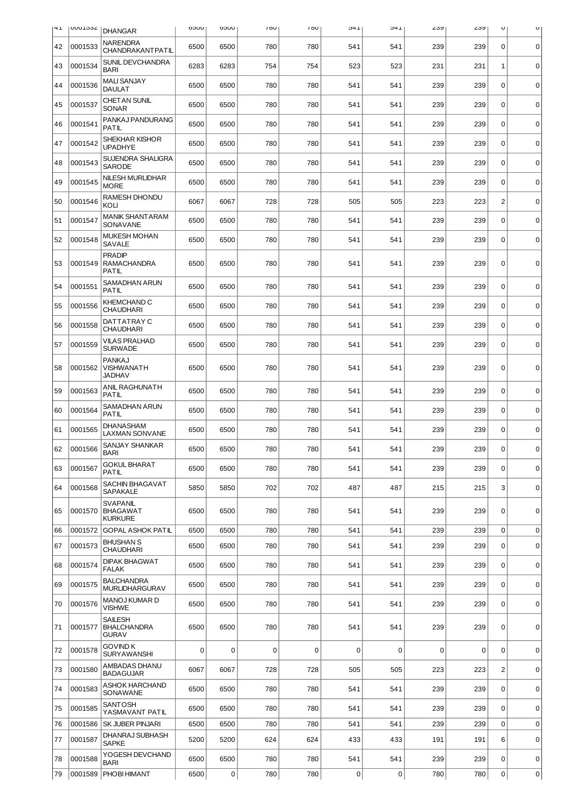| 41 | <b>VOCTOOD</b> | <b>DHANGAR</b>                                       | UUCO | <b>UUCO</b> | 100         | 100 | 14C         | 1 +C        | ∠ວນ | ∠ວນ         | $\cup$         | U           |
|----|----------------|------------------------------------------------------|------|-------------|-------------|-----|-------------|-------------|-----|-------------|----------------|-------------|
| 42 | 0001533        | NARENDRA<br><b>CHANDRAKANT PATIL</b>                 | 6500 | 6500        | 780         | 780 | 541         | 541         | 239 | 239         | 0              | $\mathbf 0$ |
| 43 | 0001534        | SUNIL DEVCHANDRA<br><b>BARI</b>                      | 6283 | 6283        | 754         | 754 | 523         | 523         | 231 | 231         | 1              | $\mathbf 0$ |
| 44 | 0001536        | <b>MALI SANJAY</b><br><b>DAULAT</b>                  | 6500 | 6500        | 780         | 780 | 541         | 541         | 239 | 239         | 0              | $\mathbf 0$ |
| 45 | 0001537        | CHETAN SUNIL<br><b>SONAR</b>                         | 6500 | 6500        | 780         | 780 | 541         | 541         | 239 | 239         | 0              | $\mathbf 0$ |
| 46 | 0001541        | PANKAJ PANDURANG<br><b>PATIL</b>                     | 6500 | 6500        | 780         | 780 | 541         | 541         | 239 | 239         | 0              | $\mathbf 0$ |
| 47 | 0001542        | SHEKHAR KISHOR<br><b>UPADHYE</b>                     | 6500 | 6500        | 780         | 780 | 541         | 541         | 239 | 239         | $\mathbf 0$    | $\mathbf 0$ |
| 48 | 0001543        | SUJENDRA SHALIGRA<br><b>SARODE</b>                   | 6500 | 6500        | 780         | 780 | 541         | 541         | 239 | 239         | 0              | $\pmb{0}$   |
| 49 | 0001545        | NILESH MURLIDHAR<br><b>MORE</b>                      | 6500 | 6500        | 780         | 780 | 541         | 541         | 239 | 239         | 0              | $\mathbf 0$ |
| 50 | 0001546        | RAMESH DHONDU<br>KOLI                                | 6067 | 6067        | 728         | 728 | 505         | 505         | 223 | 223         | $\overline{c}$ | $\mathbf 0$ |
| 51 | 0001547        | <b>MANIK SHANT ARAM</b><br>SONAVANE                  | 6500 | 6500        | 780         | 780 | 541         | 541         | 239 | 239         | 0              | $\mathbf 0$ |
| 52 | 0001548        | <b>MUKESH MOHAN</b><br>SAVALE                        | 6500 | 6500        | 780         | 780 | 541         | 541         | 239 | 239         | 0              | 0           |
| 53 | 0001549        | <b>PRADIP</b><br><b>RAMACHANDRA</b><br><b>PATIL</b>  | 6500 | 6500        | 780         | 780 | 541         | 541         | 239 | 239         | 0              | $\mathbf 0$ |
| 54 | 0001551        | SAMADHAN ARUN<br>PATIL                               | 6500 | 6500        | 780         | 780 | 541         | 541         | 239 | 239         | $\mathbf 0$    | $\mathbf 0$ |
| 55 | 0001556        | KHEMCHAND C<br><b>CHAUDHARI</b>                      | 6500 | 6500        | 780         | 780 | 541         | 541         | 239 | 239         | $\mathbf 0$    | $\mathbf 0$ |
| 56 | 0001558        | DATTATRAY C<br><b>CHAUDHARI</b>                      | 6500 | 6500        | 780         | 780 | 541         | 541         | 239 | 239         | 0              | $\mathbf 0$ |
| 57 | 0001559        | <b>VILAS PRALHAD</b><br><b>SURWADE</b>               | 6500 | 6500        | 780         | 780 | 541         | 541         | 239 | 239         | 0              | $\mathbf 0$ |
| 58 | 0001562        | <b>PANKAJ</b><br><b>VISHWANATH</b><br>JADHAV         | 6500 | 6500        | 780         | 780 | 541         | 541         | 239 | 239         | 0              | $\mathbf 0$ |
| 59 | 0001563        | ANIL RAGHUNATH<br><b>PATIL</b>                       | 6500 | 6500        | 780         | 780 | 541         | 541         | 239 | 239         | $\mathbf 0$    | $\mathbf 0$ |
| 60 | 0001564        | SAMADHAN ARUN<br><b>PATIL</b>                        | 6500 | 6500        | 780         | 780 | 541         | 541         | 239 | 239         | 0              | $\mathbf 0$ |
| 61 | 0001565        | <b>DHANASHAM</b><br>LAXMAN SONVANE                   | 6500 | 6500        | 780         | 780 | 541         | 541         | 239 | 239         | 0              | 0           |
| 62 | 0001566        | SANJAY SHANKAR<br><b>BARI</b>                        | 6500 | 6500        | 780         | 780 | 541         | 541         | 239 | 239         | 0              | $\mathbf 0$ |
| 63 | 0001567        | GOKUL BHARAT<br>PATIL                                | 6500 | 6500        | 780         | 780 | 541         | 541         | 239 | 239         | 0              | $\mathbf 0$ |
| 64 | 0001568        | SACHIN BHAGAVAT<br><b>SAPAKALE</b>                   | 5850 | 5850        | 702         | 702 | 487         | 487         | 215 | 215         | 3              | $\mathbf 0$ |
| 65 | 0001570        | <b>SVAPANIL</b><br><b>BHAGAWAT</b><br><b>KURKURE</b> | 6500 | 6500        | 780         | 780 | 541         | 541         | 239 | 239         | 0              | $\mathbf 0$ |
| 66 | 0001572        | <b>GOPAL ASHOK PATIL</b>                             | 6500 | 6500        | 780         | 780 | 541         | 541         | 239 | 239         | 0              | $\pmb{0}$   |
| 67 | 0001573        | <b>BHUSHAN S</b><br><b>CHAUDHARI</b>                 | 6500 | 6500        | 780         | 780 | 541         | 541         | 239 | 239         | 0              | $\pmb{0}$   |
| 68 | 0001574        | <b>DIPAK BHAGWAT</b><br><b>FALAK</b>                 | 6500 | 6500        | 780         | 780 | 541         | 541         | 239 | 239         | 0              | $\mathbf 0$ |
| 69 | 0001575        | <b>BALCHANDRA</b><br><b>MURLIDHARGURAV</b>           | 6500 | 6500        | 780         | 780 | 541         | 541         | 239 | 239         | $\Omega$       | $\mathbf 0$ |
| 70 | 0001576        | MANOJ KUMAR D<br><b>VISHWE</b>                       | 6500 | 6500        | 780         | 780 | 541         | 541         | 239 | 239         | 0              | $\mathbf 0$ |
| 71 | 0001577        | <b>SAILESH</b><br><b>BHALCHANDRA</b><br><b>GURAV</b> | 6500 | 6500        | 780         | 780 | 541         | 541         | 239 | 239         | 0              | $\mathbf 0$ |
| 72 | 0001578        | GOVIND K<br><b>SURYAWANSHI</b>                       | 0    | $\mathbf 0$ | $\mathbf 0$ | 0   | $\mathbf 0$ | $\mathbf 0$ | 0   | $\mathbf 0$ | 0              | $\mathbf 0$ |
| 73 | 0001580        | AMBADAS DHANU<br><b>BADAGUJAR</b>                    | 6067 | 6067        | 728         | 728 | 505         | 505         | 223 | 223         | $\overline{c}$ | $\mathbf 0$ |
| 74 | 0001583        | ASHOK HARCHAND<br>SONAWANE                           | 6500 | 6500        | 780         | 780 | 541         | 541         | 239 | 239         | 0              | $\mathbf 0$ |
| 75 | 0001585        | SANTOSH<br>YASMAVANT PATIL                           | 6500 | 6500        | 780         | 780 | 541         | 541         | 239 | 239         | $\Omega$       | $\pmb{0}$   |
| 76 | 0001586        | <b>SK JUBER PINJARI</b>                              | 6500 | 6500        | 780         | 780 | 541         | 541         | 239 | 239         | $\mathbf 0$    | $\mathbf 0$ |
| 77 | 0001587        | DHANRAJ SUBHASH<br><b>SAPKE</b>                      | 5200 | 5200        | 624         | 624 | 433         | 433         | 191 | 191         | 6              | $\mathbf 0$ |
| 78 | 0001588        | YOGESH DEVCHAND<br><b>BARI</b>                       | 6500 | 6500        | 780         | 780 | 541         | 541         | 239 | 239         | 0              | 0           |
| 79 | 0001589        | <b>PHOBIHIMANT</b>                                   | 6500 | 0           | 780         | 780 | $\pmb{0}$   | 0           | 780 | 780         | 0              | 0           |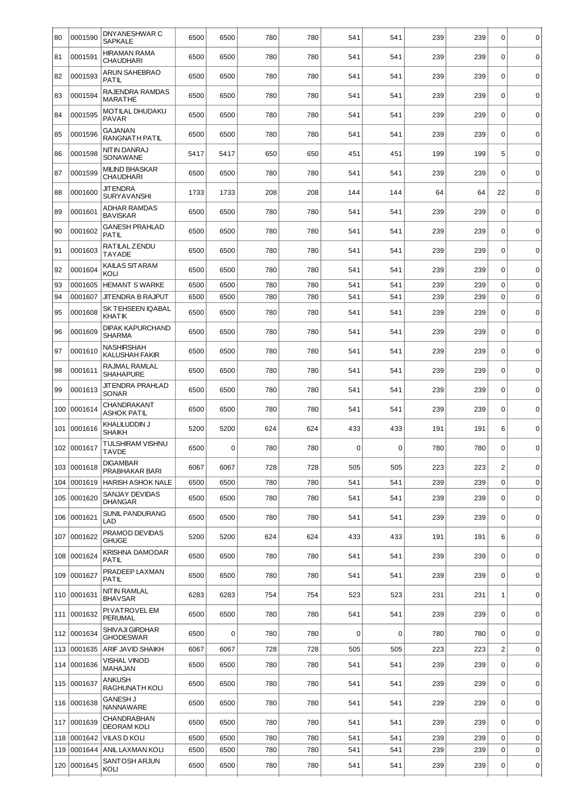| 80  | 0001590     | DNYANESHWAR C<br><b>SAPKALE</b>            | 6500 | 6500 | 780 | 780 | 541         | 541         | 239 | 239 | 0              | $\mathbf 0$ |
|-----|-------------|--------------------------------------------|------|------|-----|-----|-------------|-------------|-----|-----|----------------|-------------|
| 81  | 0001591     | <b>HIRAMAN RAMA</b><br><b>CHAUDHARI</b>    | 6500 | 6500 | 780 | 780 | 541         | 541         | 239 | 239 | $\Omega$       | $\mathbf 0$ |
| 82  | 0001593     | <b>ARUN SAHEBRAO</b><br><b>PATIL</b>       | 6500 | 6500 | 780 | 780 | 541         | 541         | 239 | 239 | $\mathbf 0$    | $\mathbf 0$ |
| 83  | 0001594     | RAJENDRA RAMDAS<br><b>MARATHE</b>          | 6500 | 6500 | 780 | 780 | 541         | 541         | 239 |     | $\Omega$       | $\pmb{0}$   |
| 84  | 0001595     | <b>MOTILAL DHUDAKU</b><br><b>PAVAR</b>     | 6500 | 6500 | 780 | 780 | 541         | 541         | 239 | 239 | $\Omega$       | $\mathbf 0$ |
| 85  | 0001596     | <b>GAJANAN</b><br>RANGNATH PATIL           | 6500 | 6500 | 780 | 780 | 541         | 541         | 239 | 239 | $\mathbf 0$    | $\mathbf 0$ |
| 86  | 0001598     | <b>NIT IN DANRAJ</b><br>SONAWANE           | 5417 | 5417 | 650 | 650 | 451         | 451         | 199 | 199 | 5              | $\mathbf 0$ |
| 87  | 0001599     | <b>MILIND BHASKAR</b><br><b>CHAUDHARI</b>  | 6500 | 6500 | 780 | 780 | 541         | 541         | 239 | 239 | $\Omega$       | $\mathbf 0$ |
| 88  | 0001600     | <b>JIT ENDRA</b><br><b>SURYAVANSHI</b>     | 1733 | 1733 | 208 | 208 | 144         | 144         | 64  | 64  | 22             | $\mathbf 0$ |
| 89  | 0001601     | <b>ADHAR RAMDAS</b><br><b>BAVISKAR</b>     | 6500 | 6500 | 780 | 780 | 541         | 541         | 239 | 239 | $\Omega$       | $\mathbf 0$ |
| 90  | 0001602     | <b>GANESH PRAHLAD</b><br><b>PATIL</b>      | 6500 | 6500 | 780 | 780 | 541         | 541         | 239 | 239 | $\mathbf 0$    | $\mathbf 0$ |
| 91  | 0001603     | RATILAL ZENDU<br><b>TAYADE</b>             | 6500 | 6500 | 780 | 780 | 541         | 541         | 239 | 239 | $\Omega$       | $\mathbf 0$ |
| 92  | 0001604     | <b>KAILAS SIT ARAM</b><br>KOLI             | 6500 | 6500 | 780 | 780 | 541         | 541         | 239 | 239 | $\Omega$       | $\mathbf 0$ |
| 93  | 0001605     | <b>HEMANT S WARKE</b>                      | 6500 | 6500 | 780 | 780 | 541         | 541         | 239 | 239 | 0              | $\mathbf 0$ |
| 94  | 0001607     | JITENDRA B RAJPUT                          | 6500 | 6500 | 780 | 780 | 541         | 541         | 239 | 239 | $\Omega$       | $\mathbf 0$ |
| 95  | 0001608     | SK TEHSEEN IQABAL<br><b>KHATIK</b>         | 6500 | 6500 | 780 | 780 | 541         | 541         | 239 | 239 | $\Omega$       | $\mathbf 0$ |
| 96  | 0001609     | <b>DIPAK KAPURCHAND</b><br><b>SHARMA</b>   | 6500 | 6500 | 780 | 780 | 541         | 541         | 239 | 239 | $\mathbf 0$    | $\mathbf 0$ |
| 97  | 0001610     | <b>NASHIRSHAH</b><br><b>KALUSHAH FAKIR</b> | 6500 | 6500 | 780 | 780 | 541         | 541         | 239 | 239 | $\Omega$       | $\mathbf 0$ |
| 98  | 0001611     | RAJMAL RAMLAL<br><b>SHAHAPURE</b>          | 6500 | 6500 | 780 | 780 | 541         | 541         | 239 | 239 | 0              | $\mathbf 0$ |
| 99  | 0001613     | <b>JITENDRA PRAHLAD</b><br>SONAR           | 6500 | 6500 | 780 | 780 | 541         | 541         | 239 | 239 | $\Omega$       | $\mathbf 0$ |
| 100 | 0001614     | <b>CHANDRAKANT</b><br>ASHOK PATIL          | 6500 | 6500 | 780 | 780 | 541         | 541         | 239 | 239 | 0              | $\mathbf 0$ |
| 101 | 0001616     | KHALILUDDIN J<br><b>SHAIKH</b>             | 5200 | 5200 | 624 | 624 | 433         | 433         | 191 | 191 | 6              | $\mathbf 0$ |
| 102 | 0001617     | <b>TULSHIRAM VISHNU</b><br><b>TAVDE</b>    | 6500 | 0    | 780 | 780 | 0           | $\Omega$    | 780 | 780 | $\Omega$       | $\mathbf 0$ |
| 103 | 0001618     | <b>DIGAMBAR</b><br>PRABHAKAR BARI          | 6067 | 6067 | 728 | 728 | 505         | 505         | 223 | 223 | $\overline{c}$ | $\mathbf 0$ |
| 104 | 0001619     | <b>HARISH ASHOK NALE</b>                   | 6500 | 6500 | 780 | 780 | 541         | 541         | 239 | 239 | 0              | $\mathbf 0$ |
|     | 105 0001620 | SANJAY DEVIDAS<br><b>DHANGAR</b>           | 6500 | 6500 | 780 | 780 | 541         | 541         | 239 | 239 | 0              | $\mathbf 0$ |
| 106 | 0001621     | SUNIL PANDURANG<br>LAD                     | 6500 | 6500 | 780 | 780 | 541         | 541         | 239 | 239 | $\Omega$       | $\mathbf 0$ |
| 107 | 0001622     | PRAMOD DEVIDAS<br><b>GHUGE</b>             | 5200 | 5200 | 624 | 624 | 433         | 433         | 191 | 191 | 6              | $\mathbf 0$ |
|     | 108 0001624 | <b>KRISHNA DAMODAR</b><br>PATIL            | 6500 | 6500 | 780 | 780 | 541         | 541         | 239 | 239 | $\mathbf 0$    | $\mathbf 0$ |
| 109 | 0001627     | PRADEEP LAXMAN<br><b>PATIL</b>             | 6500 | 6500 | 780 | 780 | 541         | 541         | 239 | 239 | $\Omega$       | 0           |
|     | 110 0001631 | NIT IN RAMLAL<br><b>BHAVSAR</b>            | 6283 | 6283 | 754 | 754 | 523         | 523         | 231 | 231 | 1              | $\mathbf 0$ |
|     | 111 0001632 | PI VATROVEL EM<br><b>PERUMAL</b>           | 6500 | 6500 | 780 | 780 | 541         | 541         | 239 | 239 | $\Omega$       | $\mathbf 0$ |
| 112 | 0001634     | SHIVAJI GIRDHAR<br><b>GHODESWAR</b>        | 6500 | 0    | 780 | 780 | $\mathbf 0$ | $\mathbf 0$ | 780 | 780 | $\mathbf 0$    | $\mathbf 0$ |
| 113 | 0001635     | ARIF JAVID SHAIKH                          | 6067 | 6067 | 728 | 728 | 505         | 505         | 223 | 223 | $\overline{c}$ | $\mathbf 0$ |
| 114 | 0001636     | <b>VISHAL VINOD</b><br>MAHAJAN             | 6500 | 6500 | 780 | 780 | 541         | 541         | 239 | 239 | $\mathbf 0$    | $\pmb{0}$   |
| 115 | 0001637     | <b>ANKUSH</b><br>RAGHUNATH KOLI            | 6500 | 6500 | 780 | 780 | 541         | 541         | 239 | 239 | $\mathbf 0$    | $\mathbf 0$ |
|     | 116 0001638 | <b>GANESH J</b><br>NANNAWARE               | 6500 | 6500 | 780 | 780 | 541         | 541         | 239 | 239 | $\mathbf 0$    | $\mathbf 0$ |
| 117 | 0001639     | <b>CHANDRABHAN</b><br><b>DEORAM KOLI</b>   | 6500 | 6500 | 780 | 780 | 541         | 541         | 239 | 239 | $\mathbf 0$    | $\mathbf 0$ |
| 118 | 0001642     | <b>VILAS D KOLI</b>                        | 6500 | 6500 | 780 | 780 | 541         | 541         | 239 | 239 | $\mathbf 0$    | $\mathbf 0$ |
| 119 | 0001644     | ANIL LAXMAN KOLI                           | 6500 | 6500 | 780 | 780 | 541         | 541         | 239 | 239 | 0              | $\mathbf 0$ |
| 120 | 0001645     | SANTOSH ARJUN<br>KOLI                      | 6500 | 6500 | 780 | 780 | 541         | 541         | 239 | 239 | 0              | $\mathbf 0$ |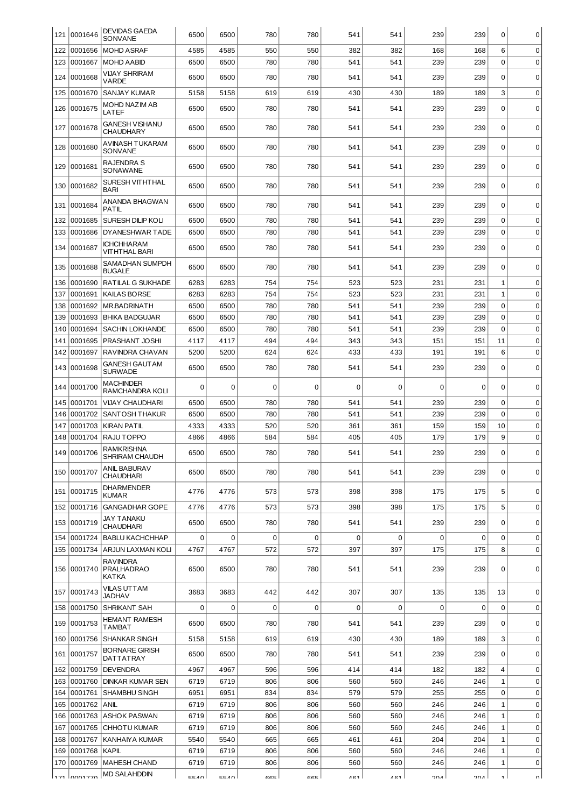| 121 | 0001646        | <b>DEVIDAS GAEDA</b><br><b>SONVANE</b> | 6500     | 6500        | 780 | 780         | 541      | 541      | 239         | 239 | 0              | 0           |
|-----|----------------|----------------------------------------|----------|-------------|-----|-------------|----------|----------|-------------|-----|----------------|-------------|
| 122 | 0001656        | <b>MOHD ASRAF</b>                      | 4585     | 4585        | 550 | 550         | 382      | 382      | 168         | 168 | 6              | 0           |
| 123 | 0001667        | <b>MOHD AABID</b>                      | 6500     | 6500        | 780 | 780         | 541      | 541      | 239         | 239 | $\mathbf 0$    | $\mathbf 0$ |
| 124 | 0001668        | VIJAY SHRIRAM<br>VARDE                 | 6500     | 6500        | 780 | 780         | 541      | 541      | 239         | 239 | $\mathbf 0$    | $\mathbf 0$ |
| 125 | 0001670        | <b>SANJAY KUMAR</b>                    | 5158     | 5158        | 619 | 619         | 430      | 430      | 189         | 189 | 3              | $\mathbf 0$ |
| 126 | 0001675        | MOHD NAZIM AB<br>LATEF                 | 6500     | 6500        | 780 | 780         | 541      | 541      | 239         | 239 | $\Omega$       | $\mathbf 0$ |
| 127 | 0001678        | GANESH VISHANU<br><b>CHAUDHARY</b>     | 6500     | 6500        | 780 | 780         | 541      | 541      | 239         | 239 | $\mathbf 0$    | $\mathbf 0$ |
| 128 | 0001680        | AVINASH TUKARAM<br>SONVANE             | 6500     | 6500        | 780 | 780         | 541      | 541      | 239         | 239 | $\Omega$       | $\Omega$    |
| 129 | 0001681        | <b>RAJENDRA S</b><br>SONAWANE          | 6500     | 6500        | 780 | 780         | 541      | 541      | 239         | 239 | $\mathbf 0$    | $\mathbf 0$ |
| 130 | 0001682        | SURESH VITHTHAL<br><b>BARI</b>         | 6500     | 6500        | 780 | 780         | 541      | 541      | 239         | 239 | $\mathbf 0$    | $\mathbf 0$ |
| 131 | 0001684        | ANANDA BHAGWAN<br>PATIL                | 6500     | 6500        | 780 | 780         | 541      | 541      | 239         | 239 | $\Omega$       | $\Omega$    |
| 132 | 0001685        | SURESH DILIP KOLI                      | 6500     | 6500        | 780 | 780         | 541      | 541      | 239         | 239 | $\mathbf 0$    | $\mathbf 0$ |
| 133 | 0001686        | DYANESHWAR TADE                        | 6500     | 6500        | 780 | 780         | 541      | 541      | 239         | 239 | $\mathbf 0$    | 0           |
| 134 | 0001687        | <b>ICHCHHARAM</b><br>VITHTHAL BARI     | 6500     | 6500        | 780 | 780         | 541      | 541      | 239         | 239 | $\mathbf 0$    | 0           |
| 135 | 0001688        | SAMADHAN SUMPDH<br><b>BUGALE</b>       | 6500     | 6500        | 780 | 780         | 541      | 541      | 239         | 239 | $\mathbf 0$    | $\mathbf 0$ |
| 136 | 0001690        | RATILAL G SUKHADE                      | 6283     | 6283        | 754 | 754         | 523      | 523      | 231         | 231 | 1              | 0           |
| 137 | 0001691        | <b>KAILAS BORSE</b>                    | 6283     | 6283        | 754 | 754         | 523      | 523      | 231         | 231 | 1              | $\mathbf 0$ |
| 138 | 0001692        | <b>MR.BADRINATH</b>                    | 6500     | 6500        | 780 | 780         | 541      | 541      | 239         | 239 | $\mathbf 0$    | $\mathbf 0$ |
| 139 | 0001693        | <b>BHIKA BADGUJAR</b>                  | 6500     | 6500        | 780 | 780         | 541      | 541      | 239         | 239 | $\mathbf 0$    | $\mathbf 0$ |
| 140 | 0001694        | <b>SACHIN LOKHANDE</b>                 | 6500     | 6500        | 780 | 780         | 541      | 541      | 239         | 239 | $\mathbf 0$    | $\mathbf 0$ |
| 141 | 0001695        | PRASHANT JOSHI                         | 4117     | 4117        | 494 | 494         | 343      | 343      | 151         | 151 | 11             | $\mathbf 0$ |
| 142 | 0001697        | RAVINDRA CHAVAN                        | 5200     | 5200        | 624 | 624         | 433      | 433      | 191         | 191 | 6              | $\mathbf 0$ |
| 143 | 0001698        | GANESH GAUTAM<br><b>SURWADE</b>        | 6500     | 6500        | 780 | 780         | 541      | 541      | 239         | 239 | $\mathbf 0$    | $\mathbf 0$ |
| 144 | 0001700        | MACHINDER<br>RAMCHANDRA KOLI           | $\Omega$ | $\Omega$    | 0   | $\Omega$    | $\Omega$ | $\Omega$ | $\Omega$    | 0   | $\Omega$       | $\mathbf 0$ |
| 145 | 0001701        | VIJAY CHAUDHARI                        | 6500     | 6500        | 780 | 780         | 541      | 541      | 239         | 239 | $\mathbf 0$    | $\mathbf 0$ |
| 146 | 0001702        | <b>SANTOSH THAKUR</b>                  | 6500     | 6500        | 780 | 780         | 541      | 541      | 239         | 239 | $\mathbf 0$    | $\mathbf 0$ |
| 147 | 0001703        | <b>KIRAN PATIL</b>                     | 4333     | 4333        | 520 | 520         | 361      | 361      | 159         | 159 | 10             | $\mathbf 0$ |
| 148 | 0001704        | RAJU TOPPO                             | 4866     | 4866        | 584 | 584         | 405      | 405      | 179         | 179 | 9              | $\mathbf 0$ |
|     | 149 0001706    | <b>RAMKRISHNA</b><br>SHRIRAM CHAUDH    | 6500     | 6500        | 780 | 780         | 541      | 541      | 239         | 239 | $\Omega$       | 0           |
|     | 150 0001707    | ANIL BABURAV<br>CHAUDHARI              | 6500     | 6500        | 780 | 780         | 541      | 541      | 239         | 239 | $\mathbf 0$    | 0           |
|     | 151 0001715    | <b>DHARMENDER</b><br>KUMAR             | 4776     | 4776        | 573 | 573         | 398      | 398      | 175         | 175 | 5              | $\mathbf 0$ |
|     | 152 0001716    | <b>GANGADHAR GOPE</b>                  | 4776     | 4776        | 573 | 573         | 398      | 398      | 175         | 175 | 5              | $\mathbf 0$ |
| 153 | 0001719        | JAY TANAKU<br>CHAUDHARI                | 6500     | 6500        | 780 | 780         | 541      | 541      | 239         | 239 | $\Omega$       | 0           |
| 154 | 0001724        | <b>BABLU KACHCHHAP</b>                 | 0        | $\mathbf 0$ | 0   | $\mathbf 0$ | 0        | 0        | $\mathbf 0$ | 0   | $\mathbf 0$    | $\mathbf 0$ |
| 155 | 0001734        | ARJUN LAXMAN KOLI                      | 4767     | 4767        | 572 | 572         | 397      | 397      | 175         | 175 | 8              | $\mathbf 0$ |
|     | 156 0001740    | RAVINDRA<br><b>PRALHADRAO</b><br>KATKA | 6500     | 6500        | 780 | 780         | 541      | 541      | 239         | 239 | $\mathbf 0$    | $\mathbf 0$ |
|     | 157 0001743    | VILAS UTTAM<br>JADHAV                  | 3683     | 3683        | 442 | 442         | 307      | 307      | 135         | 135 | 13             | $\mathbf 0$ |
| 158 | 0001750        | <b>SHRIKANT SAH</b>                    | 0        | $\mathbf 0$ | 0   | 0           | 0        | 0        | 0           | 0   | $\mathbf 0$    | $\mathbf 0$ |
|     | 159 0001753    | HEMANT RAMESH<br>TAMBAT                | 6500     | 6500        | 780 | 780         | 541      | 541      | 239         | 239 | 0              | $\mathbf 0$ |
| 160 | 0001756        | <b>SHANKAR SINGH</b>                   | 5158     | 5158        | 619 | 619         | 430      | 430      | 189         | 189 | 3              | $\mathbf 0$ |
|     | 161 0001757    | <b>BORNARE GIRISH</b><br>DATTATRAY     | 6500     | 6500        | 780 | 780         | 541      | 541      | 239         | 239 | $\mathbf 0$    | $\mathbf 0$ |
| 162 | 0001759        | <b>DEVENDRA</b>                        | 4967     | 4967        | 596 | 596         | 414      | 414      | 182         | 182 | $\overline{4}$ | $\mathbf 0$ |
| 163 | 0001760        | DINKAR KUMAR SEN                       | 6719     | 6719        | 806 | 806         | 560      | 560      | 246         | 246 | $\mathbf{1}$   | $\mathbf 0$ |
| 164 | 0001761        | <b>SHAMBHU SINGH</b>                   | 6951     | 6951        | 834 | 834         | 579      | 579      | 255         | 255 | $\mathbf 0$    | $\mathbf 0$ |
| 165 | 0001762        | <b>ANIL</b>                            | 6719     | 6719        | 806 | 806         | 560      | 560      | 246         | 246 | $\mathbf{1}$   | $\mathbf 0$ |
| 166 | 0001763        | <b>ASHOK PASWAN</b>                    | 6719     | 6719        | 806 | 806         | 560      | 560      | 246         | 246 | $\mathbf{1}$   | $\mathbf 0$ |
| 167 | 0001765        | <b>CHHOTU KUMAR</b>                    | 6719     | 6719        | 806 | 806         | 560      | 560      | 246         | 246 | $1\,$          | $\mathbf 0$ |
| 168 | 0001767        | KANHAIYA KUMAR                         | 5540     | 5540        | 665 | 665         | 461      | 461      | 204         | 204 | 1              | $\mathbf 0$ |
| 169 | 0001768        | KAPIL                                  | 6719     | 6719        | 806 | 806         | 560      | 560      | 246         | 246 | 1              | $\mathbf 0$ |
| 170 | 0001769        | <b>MAHESH CHAND</b>                    | 6719     | 6719        | 806 | 806         | 560      | 560      | 246         | 246 | 1              | 0           |
|     | $171$ $nn1770$ | <b>MD SALAHDDIN</b>                    | CEAN     | <b>CCAO</b> | CCE | CCT         | AC1      | 1C1      | 201         | 201 |                |             |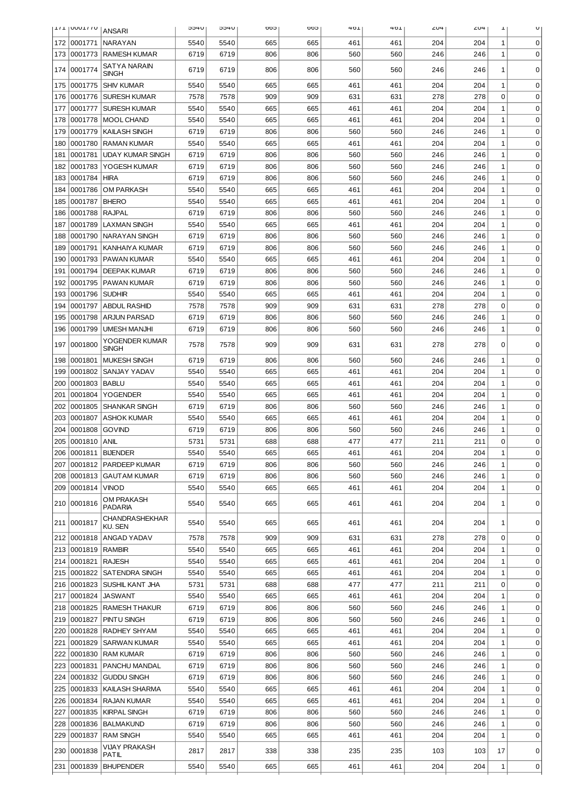|            | <b>TITIONALIS</b>  | <b>ANSARI</b>                             | <b>JHCC</b>  | <b>U+CC</b>  | coo        | coo        | 401        | 401        | 204        | 204        | Ŧ            | U                          |
|------------|--------------------|-------------------------------------------|--------------|--------------|------------|------------|------------|------------|------------|------------|--------------|----------------------------|
| 172        | 0001771            | NARAYAN                                   | 5540         | 5540         | 665        | 665        | 461        | 461        | 204        | 204        | 1            | 0                          |
| 173        | 0001773            | <b>RAMESH KUMAR</b>                       | 6719         | 6719         | 806        | 806        | 560        | 560        | 246        | 246        | 1            | $\mathbf 0$                |
| 174        | 0001774            | SATYA NARAIN                              | 6719         | 6719         | 806        | 806        | 560        | 560        | 246        | 246        | 1            | $\mathbf 0$                |
|            |                    | SINGH                                     |              |              |            |            |            |            |            |            |              |                            |
| 175        | 0001775            | <b>SHIV KUMAR</b>                         | 5540         | 5540         | 665        | 665        | 461        | 461        | 204        | 204        | 1            | 0                          |
| 176        | 0001776            | <b>SURESH KUMAR</b>                       | 7578         | 7578         | 909        | 909        | 631        | 631        | 278        | 278        | 0            | $\mathbf 0$                |
| 177        | 0001777            | <b>SURESH KUMAR</b>                       | 5540         | 5540         | 665        | 665        | 461        | 461        | 204        | 204        | $\mathbf 1$  | $\mathbf 0$                |
| 178        | 0001778            | MOOL CHAND                                | 5540         | 5540         | 665        | 665        | 461        | 461        | 204        | 204        | $\mathbf 1$  | $\mathbf 0$                |
| 179        | 0001779            | <b>KAILASH SINGH</b>                      | 6719         | 6719         | 806        | 806        | 560        | 560        | 246        | 246        | 1            | $\mathbf 0$                |
| 180        | 0001780            | <b>RAMAN KUMAR</b>                        | 5540         | 5540         | 665        | 665        | 461        | 461        | 204        | 204        | 1            | 0                          |
| 181        | 0001781            | <b>UDAY KUMAR SINGH</b>                   | 6719         | 6719         | 806        | 806        | 560        | 560        | 246        | 246        | 1            | $\mathbf 0$                |
| 182        | 0001783            | YOGESH KUMAR                              | 6719         | 6719         | 806        | 806        | 560        | 560        | 246        | 246        | 1            | $\mathbf 0$                |
| 183        | 0001784<br>0001786 | <b>HIRA</b><br><b>OM PARKASH</b>          | 6719<br>5540 | 6719<br>5540 | 806<br>665 | 806<br>665 | 560<br>461 | 560<br>461 | 246<br>204 | 246<br>204 | 1<br>1       | $\mathbf 0$<br>$\mathbf 0$ |
| 184        | 0001787            | <b>BHERO</b>                              | 5540         | 5540         | 665        | 665        | 461        | 461        | 204        | 204        | 1            | $\mathbf 0$                |
| 185<br>186 | 0001788            | <b>RAJPAL</b>                             | 6719         | 6719         | 806        | 806        | 560        | 560        | 246        | 246        | $\mathbf 1$  | $\mathbf 0$                |
| 187        | 0001789            | <b>LAXMAN SINGH</b>                       | 5540         | 5540         | 665        | 665        | 461        | 461        | 204        | 204        | $\mathbf{1}$ | $\mathbf 0$                |
| 188        | 0001790            | <b>NARAYAN SINGH</b>                      | 6719         | 6719         | 806        | 806        | 560        | 560        | 246        | 246        | $\mathbf{1}$ | $\mathbf 0$                |
| 189        | 0001791            | <b>KANHAIYA KUMAR</b>                     | 6719         | 6719         | 806        | 806        | 560        | 560        | 246        | 246        | $\mathbf 1$  | $\mathbf 0$                |
| 190        | 0001793            | <b>PAWAN KUMAR</b>                        | 5540         | 5540         | 665        | 665        | 461        | 461        | 204        | 204        | $\mathbf 1$  | $\mathbf 0$                |
| 191        | 0001794            | <b>DEEPAK KUMAR</b>                       | 6719         | 6719         | 806        | 806        | 560        | 560        | 246        | 246        | $\mathbf 1$  | $\mathbf 0$                |
| 192        | 0001795            | <b>PAWAN KUMAR</b>                        | 6719         | 6719         | 806        | 806        | 560        | 560        | 246        | 246        | 1            | 0                          |
| 193        | 0001796            | <b>SUDHIR</b>                             | 5540         | 5540         | 665        | 665        | 461        | 461        | 204        | 204        | 1            | 0                          |
| 194        | 0001797            | <b>ABDUL RASHID</b>                       | 7578         | 7578         | 909        | 909        | 631        | 631        | 278        | 278        | 0            | 0                          |
| 195        | 0001798            | <b>ARJUN PARSAD</b>                       | 6719         | 6719         | 806        | 806        | 560        | 560        | 246        | 246        | 1            | 0                          |
| 196        | 0001799            | <b>UMESH MANJHI</b>                       | 6719         | 6719         | 806        | 806        | 560        | 560        | 246        | 246        | $\mathbf 1$  | $\mathbf 0$                |
| 197        | 0001800            | YOGENDER KUMAR<br>SINGH                   | 7578         | 7578         | 909        | 909        | 631        | 631        | 278        | 278        | $\mathbf 0$  | $\mathbf 0$                |
| 198        | 0001801            | <b>MUKESH SINGH</b>                       | 6719         | 6719         | 806        | 806        | 560        | 560        | 246        | 246        | $\mathbf 1$  | $\mathbf 0$                |
| 199        | 0001802            | SANJAY YADAV                              | 5540         | 5540         | 665        | 665        | 461        | 461        | 204        | 204        | $\mathbf{1}$ | $\mathbf 0$                |
| 200        | 0001803            | <b>BABLU</b>                              | 5540         | 5540         | 665        | 665        | 461        | 461        | 204        | 204        | 1            | 0                          |
| 201        | 0001804            | <b>YOGENDER</b>                           | 5540         | 5540         | 665        | 665        | 461        | 461        | 204        | 204        | 1            | 0                          |
| 202        | 0001805            | <b>SHANKAR SINGH</b>                      | 6719         | 6719         | 806        | 806        | 560        | 560        | 246        | 246        | 1            | 0                          |
| 203        | 0001807            | <b>ASHOK KUMAR</b>                        | 5540         | 5540         | 665        | 665        | 461        | 461        | 204        | 204        | $\mathbf{1}$ | 0                          |
| 204        | 0001808            | <b>GOVIND</b>                             | 6719         | 6719         | 806        | 806        | 560        | 560        | 246        | 246        | 1            | 0                          |
| 205        | 0001810            | ANIL                                      | 5731         | 5731         | 688        | 688        | 477        | 477        | 211        | 211        | $\mathbf 0$  | $\mathbf 0$                |
| 206        |                    | 0001811 BIJENDER                          | 5540         | 5540         | 665        | 665        | 461        | 461        | 204        | 204        | $\mathbf{1}$ | $\Omega$                   |
| 207        |                    | 0001812   PARDEEP KUMAR                   | 6719         | 6719         | 806        | 806        | 560        | 560        | 246        | 246        | 1            | 0                          |
| 208        | 0001813            | <b>GAUTAM KUMAR</b>                       | 6719         | 6719         | 806        | 806        | 560        | 560        | 246        | 246        | 1            | 0                          |
| 209        | 0001814            | <b>VINOD</b>                              | 5540         | 5540         | 665        | 665        | 461        | 461        | 204        | 204        | $\mathbf 1$  | $\mathbf 0$                |
| 210        | 0001816            | OM PRAKASH<br><b>PADARIA</b>              | 5540         | 5540         | 665        | 665        | 461        | 461        | 204        | 204        | 1            | 0                          |
|            | 211 0001817        | CHANDRASHEKHAR<br>KU. SEN                 | 5540         | 5540         | 665        | 665        | 461        | 461        | 204        | 204        | 1            | 0                          |
| 212        | 0001818            | <b>ANGAD YADAV</b>                        | 7578         | 7578         | 909        | 909        | 631        | 631        | 278        | 278        | $\mathbf 0$  | $\mathbf 0$                |
| 213        | 0001819            | <b>RAMBIR</b>                             | 5540         | 5540         | 665        | 665        | 461        | 461        | 204        | 204        | $\mathbf 1$  | $\mathbf 0$                |
| 214        | 0001821            | <b>RAJESH</b>                             | 5540         | 5540         | 665        | 665        | 461        | 461        | 204        | 204        | $\mathbf 1$  | $\mathbf 0$                |
| 215        |                    | 10001822 SATENDRA SINGH                   | 5540         | 5540         | 665        | 665        | 461        | 461        | 204        | 204        | $\mathbf 1$  | $\mathbf 0$                |
| 216        |                    | 0001823   SUSHIL KANT JHA                 | 5731         | 5731         | 688        | 688        | 477        | 477        | 211        | 211        | 0            | 0                          |
| 217        | 0001824            | JASWANT                                   | 5540         | 5540         | 665        | 665        | 461        | 461        | 204        | 204        | 1            | 0                          |
| 218        | 0001825            | RAMESH THAKUR                             | 6719         | 6719         | 806        | 806        | 560        | 560        | 246        | 246        | 1            | 0                          |
| 219<br>220 | 0001827<br>0001828 | <b>PINTU SINGH</b><br><b>RADHEY SHYAM</b> | 6719<br>5540 | 6719<br>5540 | 806<br>665 | 806<br>665 | 560<br>461 | 560<br>461 | 246<br>204 | 246<br>204 | 1<br>1       | $\mathbf 0$<br>$\mathbf 0$ |
|            | 0001829            |                                           |              | 5540         | 665        | 665        |            |            |            |            | 1            | $\mathbf 0$                |
| 221<br>222 | 0001830            | <b>SARWAN KUMAR</b><br><b>RAM KUMAR</b>   | 5540<br>6719 | 6719         | 806        | 806        | 461<br>560 | 461<br>560 | 204<br>246 | 204<br>246 | 1            | $\mathbf 0$                |
| 223        | 0001831            | PANCHU MANDAL                             | 6719         | 6719         | 806        | 806        | 560        | 560        | 246        | 246        | 1            | $\mathbf 0$                |
| 224        | 0001832            | <b>GUDDU SINGH</b>                        | 6719         | 6719         | 806        | 806        | 560        | 560        | 246        | 246        | 1            | $\mathbf 0$                |
| 225        | 0001833            | KAILASH SHARMA                            | 5540         | 5540         | 665        | 665        | 461        | 461        | 204        | 204        | $\mathbf 1$  | $\mathbf 0$                |
| 226        | 0001834            | RAJAN KUMAR                               | 5540         | 5540         | 665        | 665        | 461        | 461        | 204        | 204        | $\mathbf 1$  | $\mathbf 0$                |
| 227        | 0001835            | <b>KIRPAL SINGH</b>                       | 6719         | 6719         | 806        | 806        | 560        | 560        | 246        | 246        | 1            | $\mathbf 0$                |
| 228        | 0001836            | <b>BALMAKUND</b>                          | 6719         | 6719         | 806        | 806        | 560        | 560        | 246        | 246        | 1            | $\mathbf 0$                |
| 229        | 0001837            | <b>RAM SINGH</b>                          | 5540         | 5540         | 665        | 665        | 461        | 461        | 204        | 204        | 1            | $\mathbf 0$                |
| 230        | 0001838            | VIJAY PRAKASH<br>PATIL                    | 2817         | 2817         | 338        | 338        | 235        | 235        | 103        | 103        | 17           | 0                          |
| 231        | 0001839            | <b>BHUPENDER</b>                          | 5540         | 5540         | 665        | 665        | 461        | 461        | 204        | 204        | 1            | 0                          |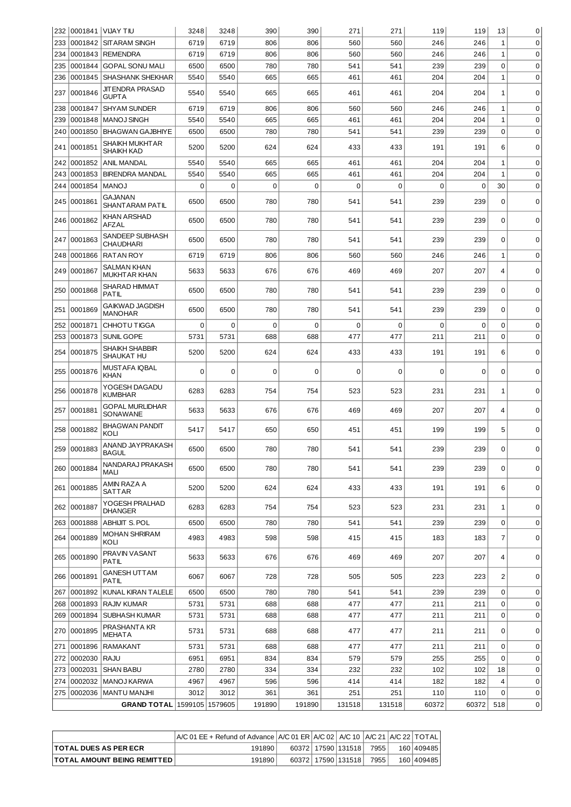| 232 |             | 0001841 VIJAY TIU                          | 3248 | 3248        | 390      | 390         | 271    | 271         | 119   | 119      | 13               | 0           |
|-----|-------------|--------------------------------------------|------|-------------|----------|-------------|--------|-------------|-------|----------|------------------|-------------|
| 233 | 0001842     | <b>SITARAM SINGH</b>                       | 6719 | 6719        | 806      | 806         | 560    | 560         | 246   | 246      | $\mathbf{1}$     | $\mathbf 0$ |
| 234 | 0001843     | REMENDRA                                   | 6719 | 6719        | 806      | 806         | 560    | 560         | 246   | 246      | $\mathbf{1}$     | $\mathbf 0$ |
| 235 | 0001844     | <b>GOPAL SONU MALI</b>                     | 6500 | 6500        | 780      | 780         | 541    | 541         | 239   | 239      | 0                | $\mathbf 0$ |
| 236 | 0001845     | <b>SHASHANK SHEKHAR</b>                    | 5540 | 5540        | 665      | 665         | 461    | 461         | 204   | 204      | $\mathbf{1}$     | $\mathbf 0$ |
| 237 | 0001846     | <b>JITENDRA PRASAD</b><br><b>GUPTA</b>     | 5540 | 5540        | 665      | 665         | 461    | 461         | 204   | 204      | 1                | $\mathbf 0$ |
| 238 | 0001847     | <b>SHYAM SUNDER</b>                        | 6719 | 6719        | 806      | 806         | 560    | 560         | 246   | 246      | 1                | $\mathbf 0$ |
| 239 | 0001848     | <b>MANOJ SINGH</b>                         | 5540 | 5540        | 665      | 665         | 461    | 461         | 204   | 204      | $\mathbf 1$      | $\mathbf 0$ |
| 240 | 0001850     | <b>BHAGWAN GAJBHIYE</b>                    | 6500 | 6500        | 780      | 780         | 541    | 541         | 239   | 239      | $\mathbf 0$      | $\mathbf 0$ |
| 241 | 0001851     | <b>SHAIKH MUKHTAR</b><br><b>SHAIKH KAD</b> | 5200 | 5200        | 624      | 624         | 433    | 433         | 191   | 191      | 6                | $\mathbf 0$ |
| 242 | 0001852     | ANIL MANDAL                                | 5540 | 5540        | 665      | 665         | 461    | 461         | 204   | 204      | 1                | $\mathbf 0$ |
| 243 | 0001853     | <b>BIRENDRA MANDAL</b>                     | 5540 | 5540        | 665      | 665         | 461    | 461         | 204   | 204      | 1                | $\mathbf 0$ |
| 244 | 0001854     | <b>MANOJ</b>                               | 0    | 0           | $\Omega$ | $\Omega$    | 0      | $\mathbf 0$ | 0     | $\Omega$ | 30               | $\mathbf 0$ |
|     |             | <b>GAJANAN</b>                             |      |             |          |             |        |             |       |          |                  |             |
| 245 | 0001861     | SHANT ARAM PATIL<br>KHAN ARSHAD            | 6500 | 6500        | 780      | 780         | 541    | 541         | 239   | 239      | $\Omega$         | $\mathbf 0$ |
| 246 | 0001862     | AFZAL                                      | 6500 | 6500        | 780      | 780         | 541    | 541         | 239   | 239      | $\mathbf 0$      | $\mathbf 0$ |
| 247 | 0001863     | SANDEEP SUBHASH<br><b>CHAUDHARI</b>        | 6500 | 6500        | 780      | 780         | 541    | 541         | 239   | 239      | $\mathbf 0$      | $\mathbf 0$ |
| 248 | 0001866     | <b>RATAN ROY</b>                           | 6719 | 6719        | 806      | 806         | 560    | 560         | 246   | 246      | $\mathbf{1}$     | $\mathbf 0$ |
| 249 | 0001867     | <b>SALMAN KHAN</b><br><b>MUKHTAR KHAN</b>  | 5633 | 5633        | 676      | 676         | 469    | 469         | 207   | 207      | 4                | $\mathbf 0$ |
| 250 | 0001868     | <b>SHARAD HIMMAT</b><br>PATIL              | 6500 | 6500        | 780      | 780         | 541    | 541         | 239   | 239      | $\mathbf 0$      | $\mathbf 0$ |
| 251 | 0001869     | <b>GAIKWAD JAGDISH</b><br><b>MANOHAR</b>   | 6500 | 6500        | 780      | 780         | 541    | 541         | 239   | 239      | $\Omega$         | $\Omega$    |
| 252 | 0001871     | CHHOTU TIGGA                               | 0    | 0           | $\Omega$ | 0           | 0      | $\Omega$    | 0     | 0        | 0                | $\mathbf 0$ |
| 253 | 0001873     | SUNIL GOPE                                 | 5731 | 5731        | 688      | 688         | 477    | 477         | 211   | 211      | $\mathbf 0$      | $\mathbf 0$ |
| 254 | 0001875     | <b>SHAIKH SHABBIR</b><br>SHAUKAT HU        | 5200 | 5200        | 624      | 624         | 433    | 433         | 191   | 191      | 6                | $\mathbf 0$ |
| 255 | 0001876     | MUSTAFA IQBAL<br><b>KHAN</b>               | 0    | $\mathbf 0$ | 0        | $\mathbf 0$ | 0      | $\mathbf 0$ | 0     | 0        | $\mathbf 0$      | $\mathbf 0$ |
| 256 | 0001878     | YOGESH DAGADU<br><b>KUMBHAR</b>            | 6283 | 6283        | 754      | 754         | 523    | 523         | 231   | 231      | $\mathbf{1}$     | $\mathbf 0$ |
| 257 | 0001881     | <b>GOPAL MURLIDHAR</b><br>SONAWANE         | 5633 | 5633        | 676      | 676         | 469    | 469         | 207   | 207      | 4                | $\mathbf 0$ |
| 258 | 0001882     | <b>BHAGWAN PANDIT</b><br>KOLI              | 5417 | 5417        | 650      | 650         | 451    | 451         | 199   | 199      | 5                | $\mathbf 0$ |
| 259 | 0001883     | ANAND JAYPRAKASH<br><b>BAGUL</b>           | 6500 | 6500        | 780      | 780         | 541    | 541         | 239   | 239      | $\Omega$         | $\mathbf 0$ |
| 260 | 0001884     | NANDARAJ PRAKASH<br>MALI                   | 6500 | 6500        | 780      | 780         | 541    | 541         | 239   | 239      | $\mathbf 0$      | $\mathbf 0$ |
|     | 261 0001885 | AMIN RAZA A<br><b>SATTAR</b>               | 5200 | 5200        | 624      | 624         | 433    | 433         | 191   | 191      | 6                | 0           |
| 262 | 0001887     | YOGESH PRALHAD<br><b>DHANGER</b>           | 6283 | 6283        | 754      | 754         | 523    | 523         | 231   | 231      | 1                | $\mathbf 0$ |
| 263 | 0001888     | <b>ABHIJIT S. POL</b>                      | 6500 | 6500        | 780      | 780         | 541    | 541         | 239   | 239      | $\boldsymbol{0}$ | $\mathbf 0$ |
| 264 | 0001889     | <b>MOHAN SHRIRAM</b><br>KOLI               | 4983 | 4983        | 598      | 598         | 415    | 415         | 183   | 183      | 7                | $\mathbf 0$ |
|     | 265 0001890 | PRAVIN VASANT<br>PATIL                     | 5633 | 5633        | 676      | 676         | 469    | 469         | 207   | 207      | 4                | $\mathbf 0$ |
|     | 266 0001891 | <b>GANESH UTTAM</b><br><b>PATIL</b>        | 6067 | 6067        | 728      | 728         | 505    | 505         | 223   | 223      | 2                | 0           |
| 267 | 0001892     | KUNAL KIRAN TALELE                         | 6500 | 6500        | 780      | 780         | 541    | 541         | 239   | 239      | 0                | $\mathbf 0$ |
| 268 | 0001893     | <b>RAJIV KUMAR</b>                         | 5731 | 5731        | 688      | 688         | 477    | 477         | 211   | 211      | $\mathbf 0$      | 0           |
| 269 | 0001894     | SUBHASH KUMAR                              | 5731 | 5731        | 688      | 688         | 477    | 477         | 211   | 211      | $\mathbf 0$      | $\mathbf 0$ |
| 270 | 0001895     | PRASHANTA KR<br>MEHATA                     | 5731 | 5731        | 688      | 688         | 477    | 477         | 211   | 211      | $\mathbf 0$      | $\mathbf 0$ |
| 271 | 0001896     | RAMAKANT                                   | 5731 | 5731        | 688      | 688         | 477    | 477         | 211   | 211      | $\boldsymbol{0}$ | $\mathbf 0$ |
| 272 | 0002030     | <b>RAJU</b>                                | 6951 | 6951        | 834      | 834         | 579    | 579         | 255   | 255      | $\mathbf 0$      | $\mathbf 0$ |
| 273 | 0002031     | <b>SHAN BABU</b>                           | 2780 | 2780        | 334      | 334         | 232    | 232         | 102   | 102      | 18               | $\mathbf 0$ |
| 274 | 0002032     | MANOJ KARWA                                | 4967 | 4967        | 596      | 596         | 414    | 414         | 182   | 182      | 4                | $\mathbf 0$ |
| 275 | 0002036     | MANTU MANJHI                               | 3012 | 3012        | 361      | 361         | 251    | 251         |       | 110      | 0                | $\mathbf 0$ |
|     |             |                                            |      |             |          |             |        |             | 110   |          |                  |             |
|     |             | GRAND TOTAL 1599105 1579605                |      |             | 191890   | 191890      | 131518 | 131518      | 60372 | 60372    | 518              | 0           |

|                                      | $\overline{A/C}$ 01 EE + Refund of Advance $\overline{A/C}$ 01 ER $\overline{A/C}$ 02 $\overline{A/C}$ 10 $\overline{A/C}$ 21 $\overline{A/C}$ 22 $\overline{A/C}$ TOTAL |  |                        |      |            |
|--------------------------------------|--------------------------------------------------------------------------------------------------------------------------------------------------------------------------|--|------------------------|------|------------|
| <b>TOTAL DUES AS PER ECR</b>         | 191890                                                                                                                                                                   |  | 60372   17590   131518 | 7955 | 160 409485 |
| <b>TOTAL AMOUNT BEING REMITTED  </b> | 191890                                                                                                                                                                   |  | 60372   17590   131518 | 7955 | 160 409485 |